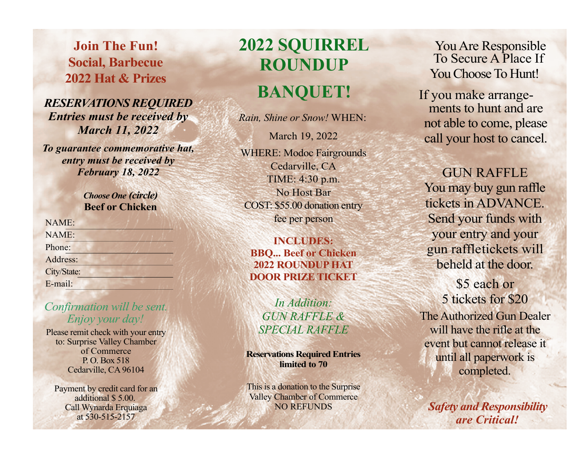**Join The Fun! Social, Barbecue2022 Hat& Prizes**

# *RESERVATIONSREQUIRED Entries must be received by March 11, 2022*

*To guarantee commemorative hat, entry must be received byFebruary 18, 2022*

> *Choose One (circle)* **Beef or Chicken**

| NAME:       |  |
|-------------|--|
| NAME:       |  |
| Phone:      |  |
| Address:    |  |
| City/State: |  |
| E-mail:     |  |

## *Confirmation will be sent. Enjoy your day!*

Please remit check with your entry to: Surprise Valley Chamber of CommerceP. O. Box 518Cedarville, CA 96104

Payment by credit card for an additional \$ 5.00. Call Wynarda Erquiaga at 530-515-2157

# **2022 SQUIRRELROUNDUP**

# **BANQUET!**

*Rain, Shine or Snow!* WHEN:

March 19, 2022WHERE: Modoc FairgroundsCedarville, CA TIME: 4:30 p.m.No Host BarCOST: \$55.00 donation entry fee per person

**INCLUDES: BBQ... Beefor Chicken 2022 ROUNDUPHATDOOR PRIZ E TICKET**

*In Addition: GUN RAFFLE &SPECIAL RAFFLE*

**Reservations RequiredEntries limited to <sup>70</sup>**

This is a donation to the Surprise Valley Chamber of CommerceNO REFUNDS

You Are Responsible To Secure A Place If You Choose To Hunt!

 If you make arrangements to hunt and arenot able to come, please call your host to cancel.

GUN RAFFLEYou may buy gun raffle tickets in ADVANCE. Send your funds with your entry and your gun raffletickets will beheld at the door.

> \$5 each or 5 tickets for \$20

The Authorized Gun Dealerwill have the rifle at theevent but cannot release ituntil all paperwork is completed.

*Safety and Responsibility are Critical!*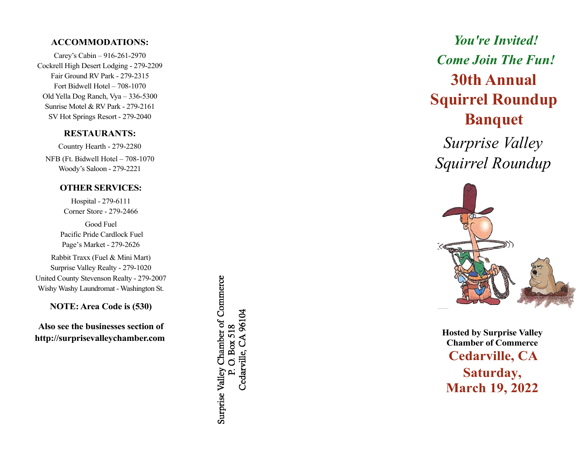#### **ACCOMMODATIONS:**

 Carey's Cabin – 916-261-2970 Cockrell High Desert Lodging - 279-2209Fair GroundRV Park - 279-2315 Fort Bidwell Hotel – 708-1070 Old Yella Dog Ranch, Vya – 336-5300 Sunrise Motel & RV Park - 279-2161 SV Hot Springs Resort - 279-2040

#### **RESTAURANTS:**

Country Hearth - 279-2280NFB (Ft. Bidwell Hotel – 708-1070Woody's Saloon - 279-2221

#### **OTHER SERVICES:**

Hospital - 279-6111Corner Store - 279-2466

Good FuelPacific Pride Cardlock FuelPage's Market - 279-2626

Rabbit Traxx (Fuel & Mini Mart)Surprise Valley Realty - 279-1020 United County Stevenson Realty - 279-2007 WishyWashy Laundromat - Washington St.

**NOTE: Area Code is (530)**

**Also see the businesses section ofhttp://surprisevalleychamber.com** Surprise Valley Chamber of Commerce Cedarville, CA 96104 O. Box 518

# *You're Invited!Come Join The Fun!***30th AnnualSquirrel RoundupBanquet**

*Surprise ValleySquirrel Roundup*



**Hosted by SurpriseValley Chamber of Commerce Cedarville, CASaturday, March 19,<sup>202</sup> 2**